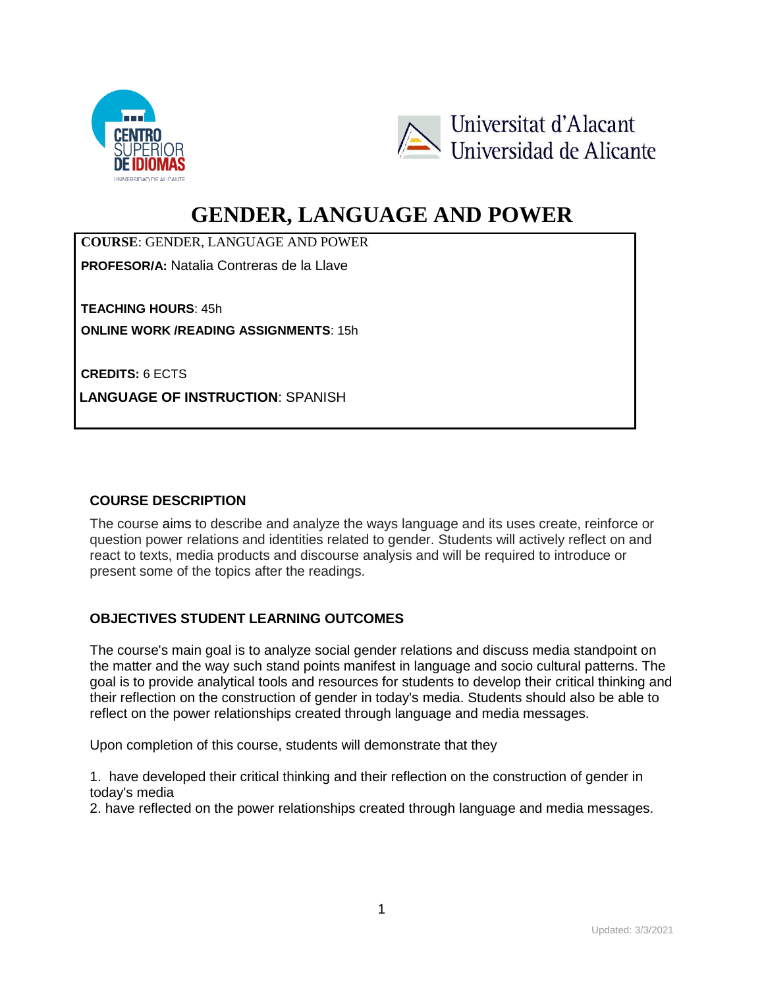



# **GENDER, LANGUAGE AND POWER**

**COURSE**: GENDER, LANGUAGE AND POWER

**PROFESOR/A:** Natalia Contreras de la Llave

**TEACHING HOURS**: 45h **ONLINE WORK /READING ASSIGNMENTS**: 15h

**CREDITS:** 6 ECTS

**LANGUAGE OF INSTRUCTION**: SPANISH

## **COURSE DESCRIPTION**

The course aims to describe and analyze the ways language and its uses create, reinforce or question power relations and identities related to gender. Students will actively reflect on and react to texts, media products and discourse analysis and will be required to introduce or present some of the topics after the readings.

## **OBJECTIVES STUDENT LEARNING OUTCOMES**

The course's main goal is to analyze social gender relations and discuss media standpoint on the matter and the way such stand points manifest in language and socio cultural patterns. The goal is to provide analytical tools and resources for students to develop their critical thinking and their reflection on the construction of gender in today's media. Students should also be able to reflect on the power relationships created through language and media messages.

Upon completion of this course, students will demonstrate that they

1. have developed their critical thinking and their reflection on the construction of gender in today's media

2. have reflected on the power relationships created through language and media messages.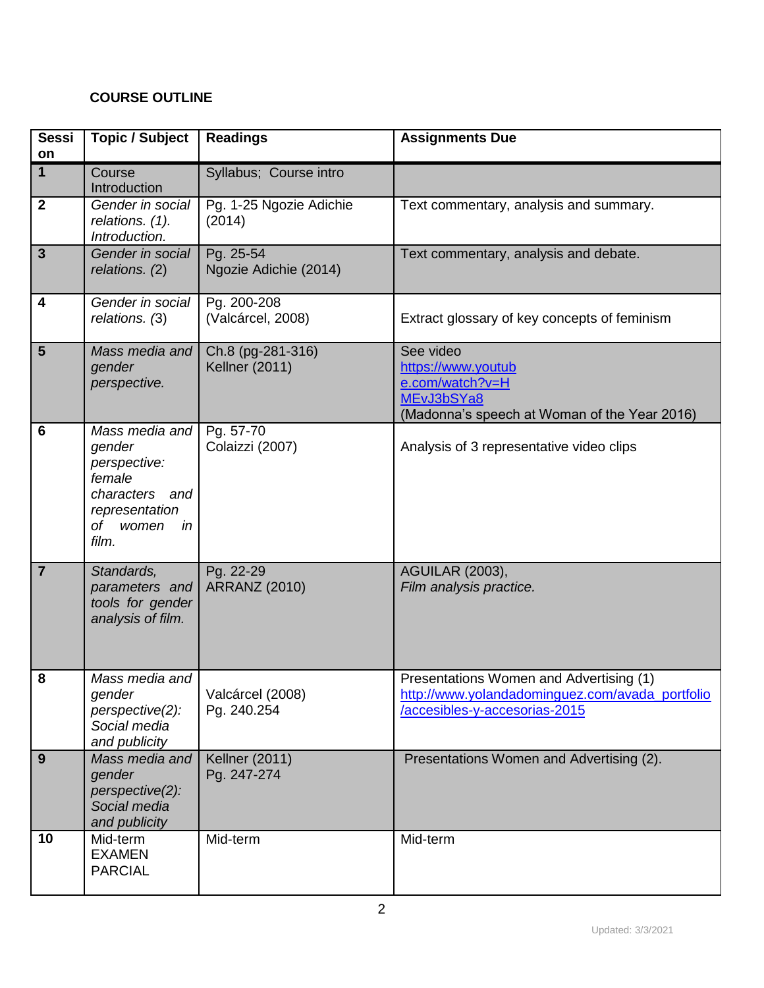# **COURSE OUTLINE**

| <b>Sessi</b><br>on | <b>Topic / Subject</b>                                                                                            | <b>Readings</b>                            | <b>Assignments Due</b>                                                                                                      |
|--------------------|-------------------------------------------------------------------------------------------------------------------|--------------------------------------------|-----------------------------------------------------------------------------------------------------------------------------|
| $\mathbf{1}$       | Course<br>Introduction                                                                                            | Syllabus; Course intro                     |                                                                                                                             |
| $\mathbf{2}$       | Gender in social<br>relations. (1).<br>Introduction.                                                              | Pg. 1-25 Ngozie Adichie<br>(2014)          | Text commentary, analysis and summary.                                                                                      |
| $\mathbf{3}$       | Gender in social<br>relations. (2)                                                                                | Pg. 25-54<br>Ngozie Adichie (2014)         | Text commentary, analysis and debate.                                                                                       |
| 4                  | Gender in social<br>relations. (3)                                                                                | Pg. 200-208<br>(Valcárcel, 2008)           | Extract glossary of key concepts of feminism                                                                                |
| 5                  | Mass media and<br>gender<br>perspective.                                                                          | Ch.8 (pg-281-316)<br><b>Kellner (2011)</b> | See video<br>https://www.youtub<br>e.com/watch?v=H<br>MEvJ3bSYa8<br>(Madonna's speech at Woman of the Year 2016)            |
| 6                  | Mass media and<br>gender<br>perspective:<br>female<br>characters and<br>representation<br>of women<br>in<br>film. | Pg. 57-70<br>Colaizzi (2007)               | Analysis of 3 representative video clips                                                                                    |
| $\overline{7}$     | Standards,<br>parameters and<br>tools for gender<br>analysis of film.                                             | Pg. 22-29<br><b>ARRANZ (2010)</b>          | <b>AGUILAR (2003),</b><br>Film analysis practice.                                                                           |
| 8                  | Mass media and<br>gender<br>perspective(2):<br>Social media<br>and publicity                                      | Valcárcel (2008)<br>Pg. 240.254            | Presentations Women and Advertising (1)<br>http://www.yolandadominguez.com/avada_portfolio<br>/accesibles-y-accesorias-2015 |
| 9                  | Mass media and<br>gender<br>perspective(2):<br>Social media<br>and publicity                                      | <b>Kellner (2011)</b><br>Pg. 247-274       | Presentations Women and Advertising (2).                                                                                    |
| 10                 | Mid-term<br><b>EXAMEN</b><br><b>PARCIAL</b>                                                                       | Mid-term                                   | Mid-term                                                                                                                    |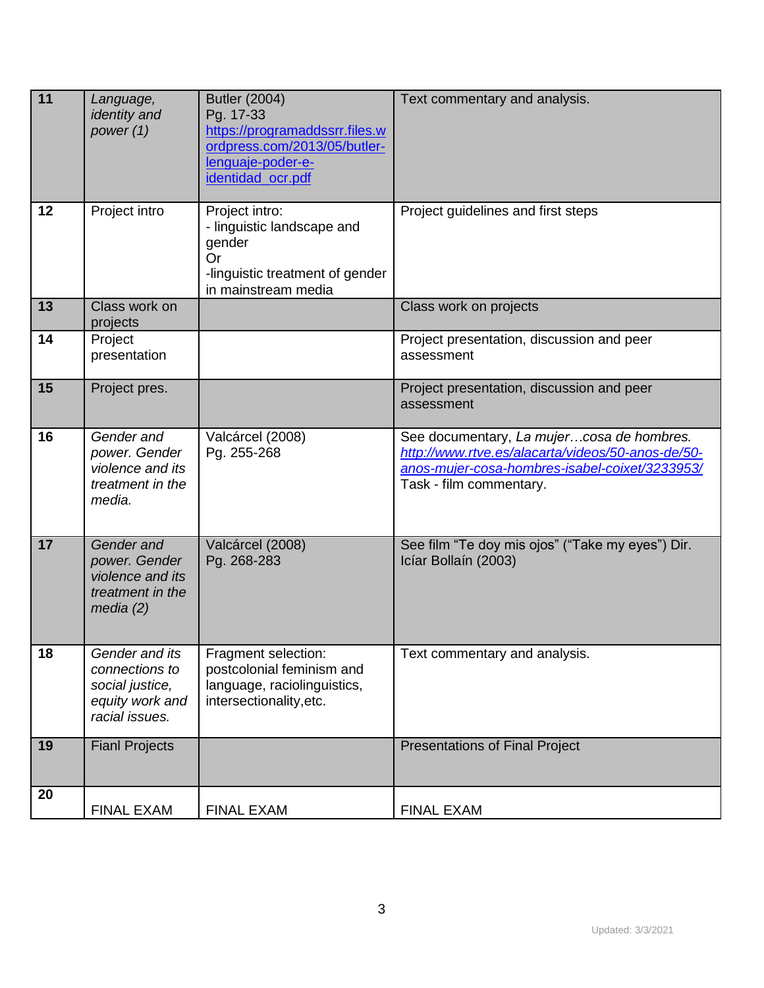| 11 | Language,<br><i>identity</i> and<br>power (1)                                            | <b>Butler (2004)</b><br>Pg. 17-33<br>https://programaddssrr.files.w<br>ordpress.com/2013/05/butler-<br>lenguaje-poder-e-<br>identidad_ocr.pdf | Text commentary and analysis.                                                                                                                                               |
|----|------------------------------------------------------------------------------------------|-----------------------------------------------------------------------------------------------------------------------------------------------|-----------------------------------------------------------------------------------------------------------------------------------------------------------------------------|
| 12 | Project intro                                                                            | Project intro:<br>- linguistic landscape and<br>gender<br><b>Or</b><br>-linguistic treatment of gender<br>in mainstream media                 | Project guidelines and first steps                                                                                                                                          |
| 13 | Class work on<br>projects                                                                |                                                                                                                                               | Class work on projects                                                                                                                                                      |
| 14 | Project<br>presentation                                                                  |                                                                                                                                               | Project presentation, discussion and peer<br>assessment                                                                                                                     |
| 15 | Project pres.                                                                            |                                                                                                                                               | Project presentation, discussion and peer<br>assessment                                                                                                                     |
| 16 | Gender and<br>power. Gender<br>violence and its<br>treatment in the<br>media.            | Valcárcel (2008)<br>Pg. 255-268                                                                                                               | See documentary, La mujercosa de hombres.<br>http://www.rtve.es/alacarta/videos/50-anos-de/50-<br>anos-mujer-cosa-hombres-isabel-coixet/3233953/<br>Task - film commentary. |
| 17 | Gender and<br>power. Gender<br>violence and its<br>treatment in the<br>media $(2)$       | Valcárcel (2008)<br>Pg. 268-283                                                                                                               | See film "Te doy mis ojos" ("Take my eyes") Dir.<br>Icíar Bollaín (2003)                                                                                                    |
| 18 | Gender and its<br>connections to<br>social justice,<br>equity work and<br>racial issues. | Fragment selection:<br>postcolonial feminism and<br>language, raciolinguistics,<br>intersectionality, etc.                                    | Text commentary and analysis.                                                                                                                                               |
| 19 | <b>Fianl Projects</b>                                                                    |                                                                                                                                               | <b>Presentations of Final Project</b>                                                                                                                                       |
| 20 | FINAL EXAM                                                                               | FINAL EXAM                                                                                                                                    | FINAL EXAM                                                                                                                                                                  |